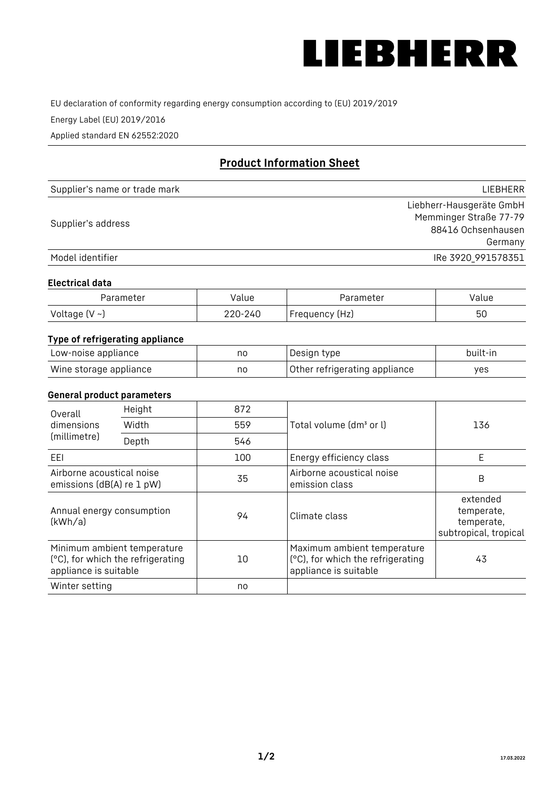

EU declaration of conformity regarding energy consumption according to (EU) 2019/2019

Energy Label (EU) 2019/2016

Applied standard EN 62552:2020

# **Product Information Sheet**

| Supplier's name or trade mark | LIEBHERR                 |
|-------------------------------|--------------------------|
|                               | Liebherr-Hausgeräte GmbH |
| Supplier's address            | Memminger Straße 77-79   |
|                               | 88416 Ochsenhausen       |
|                               | Germany                  |
| Model identifier              | IRe 3920 991578351       |

#### **Electrical data**

| Parameter     | Value   | Parameter      | Value |
|---------------|---------|----------------|-------|
| Voltage (V ~) | 220-240 | Frequency (Hz) | 50    |

## **Type of refrigerating appliance**

| Low-noise appliance    | no | Design type                   | built-in |
|------------------------|----|-------------------------------|----------|
| Wine storage appliance | no | Other refrigerating appliance | ves      |

#### **General product parameters**

| Height<br>Overall                                      |                                                                  | 872 |                                                                                           |                                                               |
|--------------------------------------------------------|------------------------------------------------------------------|-----|-------------------------------------------------------------------------------------------|---------------------------------------------------------------|
| dimensions<br>Width<br>(millimetre)<br>Depth           |                                                                  | 559 | Total volume (dm <sup>3</sup> or l)                                                       | 136                                                           |
|                                                        |                                                                  | 546 |                                                                                           |                                                               |
| EEL                                                    |                                                                  | 100 | Energy efficiency class                                                                   | E                                                             |
| Airborne acoustical noise<br>emissions (dB(A) re 1 pW) |                                                                  | 35  | Airborne acoustical noise<br>emission class                                               | B                                                             |
| Annual energy consumption<br>(kWh/a)                   |                                                                  | 94  | Climate class                                                                             | extended<br>temperate,<br>temperate,<br>subtropical, tropical |
| appliance is suitable                                  | Minimum ambient temperature<br>(°C), for which the refrigerating | 10  | Maximum ambient temperature<br>(°C), for which the refrigerating<br>appliance is suitable | 43                                                            |
| Winter setting                                         |                                                                  | no  |                                                                                           |                                                               |